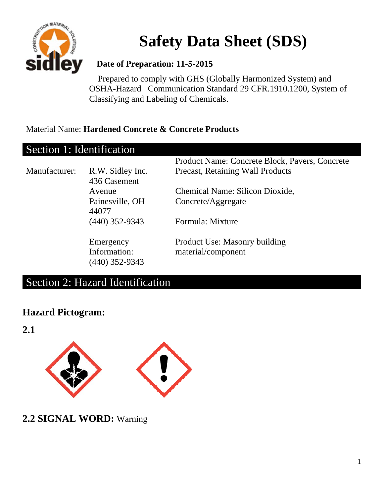

# **Safety Data Sheet (SDS)**

#### **Date of Preparation: 11-5-2015**

 Prepared to comply with GHS (Globally Harmonized System) and OSHA-Hazard Communication Standard 29 CFR.1910.1200, System of Classifying and Labeling of Chemicals.

#### Material Name: **Hardened Concrete & Concrete Products**

| Section 1: Identification |                                  |                                                |
|---------------------------|----------------------------------|------------------------------------------------|
|                           |                                  | Product Name: Concrete Block, Pavers, Concrete |
| Manufacturer:             | R.W. Sidley Inc.<br>436 Casement | <b>Precast, Retaining Wall Products</b>        |
|                           | Avenue                           | Chemical Name: Silicon Dioxide,                |
|                           | Painesville, OH<br>44077         | Concrete/Aggregate                             |
|                           | $(440)$ 352-9343                 | Formula: Mixture                               |
|                           | Emergency                        | Product Use: Masonry building                  |
|                           | Information:                     | material/component                             |
|                           | (440) 352-9343                   |                                                |

### Section 2: Hazard Identification

#### **Hazard Pictogram:**

**2.1** 



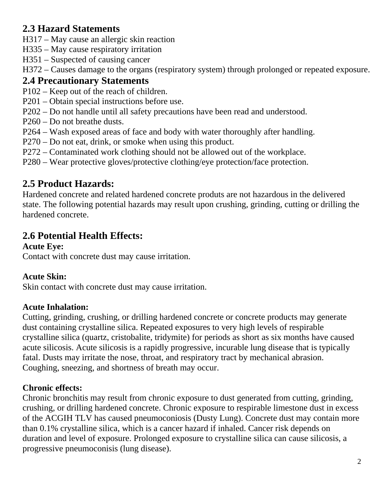### **2.3 Hazard Statements**

- H317 May cause an allergic skin reaction
- H335 May cause respiratory irritation
- H351 Suspected of causing cancer
- H372 Causes damage to the organs (respiratory system) through prolonged or repeated exposure.

### **2.4 Precautionary Statements**

- P102 Keep out of the reach of children.
- P201 Obtain special instructions before use.
- P202 Do not handle until all safety precautions have been read and understood.
- P260 Do not breathe dusts.
- P264 Wash exposed areas of face and body with water thoroughly after handling.
- P270 Do not eat, drink, or smoke when using this product.
- P272 Contaminated work clothing should not be allowed out of the workplace.
- P280 Wear protective gloves/protective clothing/eye protection/face protection.

# **2.5 Product Hazards:**

Hardened concrete and related hardened concrete produts are not hazardous in the delivered state. The following potential hazards may result upon crushing, grinding, cutting or drilling the hardened concrete.

# **2.6 Potential Health Effects:**

#### **Acute Eye:**

Contact with concrete dust may cause irritation.

#### **Acute Skin:**

Skin contact with concrete dust may cause irritation.

#### **Acute Inhalation:**

Cutting, grinding, crushing, or drilling hardened concrete or concrete products may generate dust containing crystalline silica. Repeated exposures to very high levels of respirable crystalline silica (quartz, cristobalite, tridymite) for periods as short as six months have caused acute silicosis. Acute silicosis is a rapidly progressive, incurable lung disease that is typically fatal. Dusts may irritate the nose, throat, and respiratory tract by mechanical abrasion. Coughing, sneezing, and shortness of breath may occur.

#### **Chronic effects:**

Chronic bronchitis may result from chronic exposure to dust generated from cutting, grinding, crushing, or drilling hardened concrete. Chronic exposure to respirable limestone dust in excess of the ACGIH TLV has caused pneumoconiosis (Dusty Lung). Concrete dust may contain more than 0.1% crystalline silica, which is a cancer hazard if inhaled. Cancer risk depends on duration and level of exposure. Prolonged exposure to crystalline silica can cause silicosis, a progressive pneumoconisis (lung disease).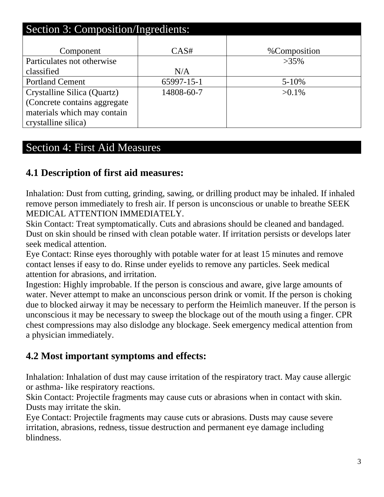| Section 3: Composition/Ingredients: |            |              |  |  |  |  |
|-------------------------------------|------------|--------------|--|--|--|--|
| Component                           | CAS#       | %Composition |  |  |  |  |
| Particulates not otherwise          |            | $>35\%$      |  |  |  |  |
| classified                          | N/A        |              |  |  |  |  |
| <b>Portland Cement</b>              | 65997-15-1 | $5 - 10%$    |  |  |  |  |
| Crystalline Silica (Quartz)         | 14808-60-7 | $>0.1\%$     |  |  |  |  |
| (Concrete contains aggregate)       |            |              |  |  |  |  |
| materials which may contain         |            |              |  |  |  |  |
| crystalline silica)                 |            |              |  |  |  |  |

### Section 4: First Aid Measures

### **4.1 Description of first aid measures:**

Inhalation: Dust from cutting, grinding, sawing, or drilling product may be inhaled. If inhaled remove person immediately to fresh air. If person is unconscious or unable to breathe SEEK MEDICAL ATTENTION IMMEDIATELY.

Skin Contact: Treat symptomatically. Cuts and abrasions should be cleaned and bandaged. Dust on skin should be rinsed with clean potable water. If irritation persists or develops later seek medical attention.

Eye Contact: Rinse eyes thoroughly with potable water for at least 15 minutes and remove contact lenses if easy to do. Rinse under eyelids to remove any particles. Seek medical attention for abrasions, and irritation.

Ingestion: Highly improbable. If the person is conscious and aware, give large amounts of water. Never attempt to make an unconscious person drink or vomit. If the person is choking due to blocked airway it may be necessary to perform the Heimlich maneuver. If the person is unconscious it may be necessary to sweep the blockage out of the mouth using a finger. CPR chest compressions may also dislodge any blockage. Seek emergency medical attention from a physician immediately.

#### **4.2 Most important symptoms and effects:**

Inhalation: Inhalation of dust may cause irritation of the respiratory tract. May cause allergic or asthma- like respiratory reactions.

Skin Contact: Projectile fragments may cause cuts or abrasions when in contact with skin. Dusts may irritate the skin.

Eye Contact: Projectile fragments may cause cuts or abrasions. Dusts may cause severe irritation, abrasions, redness, tissue destruction and permanent eye damage including blindness.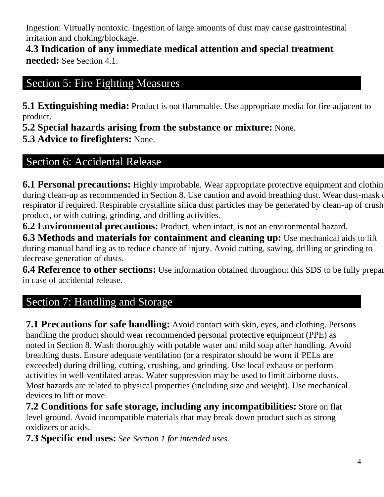Ingestion: Virtually nontoxic. Ingestion of large amounts of dust may cause gastrointestinal irritation and choking/blockage.

**4.3 Indication of any immediate medical attention and special treatment needed:** See Section 4.1.

# Section 5: Fire Fighting Measures

**5.1 Extinguishing media:** Product is not flammable. Use appropriate media for fire adjacent to product.

**5.2 Special hazards arising from the substance or mixture:** None.

**5.3 Advice to firefighters:** None.

# Section 6: Accidental Release

**6.1 Personal precautions:** Highly improbable. Wear appropriate protective equipment and clothin during clean-up as recommended in Section 8. Use caution and avoid breathing dust. Wear dust-mask of respirator if required. Respirable crystalline silica dust particles may be generated by clean-up of crush product, or with cutting, grinding, and drilling activities.

**6.2 Environmental precautions:** Product, when intact, is not an environmental hazard.

**6.3 Methods and materials for containment and cleaning up:** Use mechanical aids to lift during manual handling as to reduce chance of injury. Avoid cutting, sawing, drilling or grinding to decrease generation of dusts.

**6.4 Reference to other sections:** Use information obtained throughout this SDS to be fully prepar in case of accidental release.

# Section 7: Handling and Storage

**7.1 Precautions for safe handling:** Avoid contact with skin, eyes, and clothing. Persons handling the product should wear recommended personal protective equipment (PPE) as noted in Section 8. Wash thoroughly with potable water and mild soap after handling. Avoid breathing dusts. Ensure adequate ventilation (or a respirator should be worn if PELs are exceeded) during drilling, cutting, crushing, and grinding. Use local exhaust or perform activities in well-ventilated areas. Water suppression may be used to limit airborne dusts. Most hazards are related to physical properties (including size and weight). Use mechanical devices to lift or move.

**7.2 Conditions for safe storage, including any incompatibilities:** Store on flat level ground. Avoid incompatible materials that may break down product such as strong oxidizers or acids.

**7.3 Specific end uses:** *See Section 1 for intended uses.*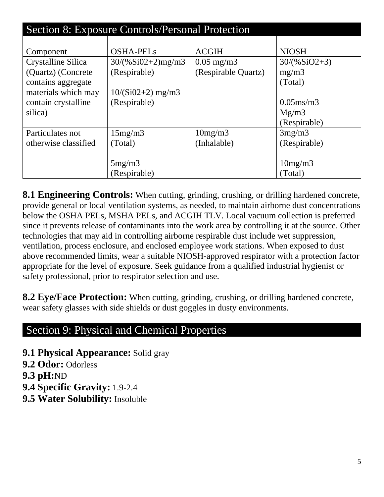| Section 8: Exposure Controls/Personal Protection |                     |                       |                |  |  |  |  |
|--------------------------------------------------|---------------------|-----------------------|----------------|--|--|--|--|
|                                                  |                     |                       |                |  |  |  |  |
| Component                                        | <b>OSHA-PELs</b>    | <b>ACGIH</b>          | <b>NIOSH</b>   |  |  |  |  |
| Crystalline Silica                               | $30/(%Si02+2)mg/m3$ | $0.05 \text{ mg/m}$ 3 | $30/(%SiO2+3)$ |  |  |  |  |
| (Quartz) (Concrete)                              | (Respirable)        | (Respirable Quartz)   | mg/m3          |  |  |  |  |
| contains aggregate                               |                     |                       | (Total)        |  |  |  |  |
| materials which may                              | $10/(Si02+2)$ mg/m3 |                       |                |  |  |  |  |
| contain crystalline                              | (Respirable)        |                       | $0.05$ ms/m3   |  |  |  |  |
| silica)                                          |                     |                       | Mg/m3          |  |  |  |  |
|                                                  |                     |                       | (Respirable)   |  |  |  |  |
| Particulates not                                 | 15mg/m3             | 10mg/m3               | 3mg/m3         |  |  |  |  |
| otherwise classified                             | (Total)             | (Inhalable)           | (Respirable)   |  |  |  |  |
|                                                  |                     |                       |                |  |  |  |  |
|                                                  | 5mg/m3              |                       | 10mg/m3        |  |  |  |  |
|                                                  | (Respirable)        |                       | (Total)        |  |  |  |  |

**8.1 Engineering Controls:** When cutting, grinding, crushing, or drilling hardened concrete, provide general or local ventilation systems, as needed, to maintain airborne dust concentrations below the OSHA PELs, MSHA PELs, and ACGIH TLV. Local vacuum collection is preferred since it prevents release of contaminants into the work area by controlling it at the source. Other technologies that may aid in controlling airborne respirable dust include wet suppression, ventilation, process enclosure, and enclosed employee work stations. When exposed to dust above recommended limits, wear a suitable NIOSH-approved respirator with a protection factor appropriate for the level of exposure. Seek guidance from a qualified industrial hygienist or safety professional, prior to respirator selection and use.

**8.2 Eye/Face Protection:** When cutting, grinding, crushing, or drilling hardened concrete, wear safety glasses with side shields or dust goggles in dusty environments.

### Section 9: Physical and Chemical Properties

**9.1 Physical Appearance:** Solid gray

**9.2 Odor:** Odorless

**9.3 pH:**ND

**9.4 Specific Gravity:** 1.9-2.4

**9.5 Water Solubility:** Insoluble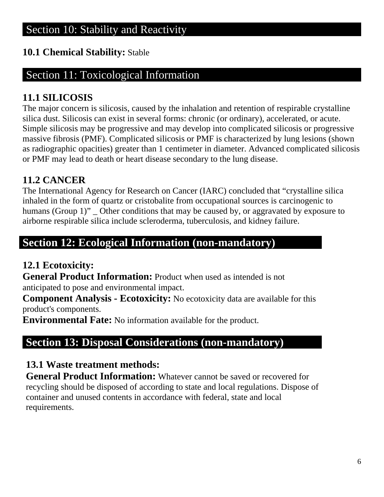### **10.1 Chemical Stability:** Stable

### Section 11: Toxicological Information

### **11.1 SILICOSIS**

The major concern is silicosis, caused by the inhalation and retention of respirable crystalline silica dust. Silicosis can exist in several forms: chronic (or ordinary), accelerated, or acute. Simple silicosis may be progressive and may develop into complicated silicosis or progressive massive fibrosis (PMF). Complicated silicosis or PMF is characterized by lung lesions (shown as radiographic opacities) greater than 1 centimeter in diameter. Advanced complicated silicosis or PMF may lead to death or heart disease secondary to the lung disease.

### **11.2 CANCER**

The International Agency for Research on Cancer (IARC) concluded that "crystalline silica inhaled in the form of quartz or cristobalite from occupational sources is carcinogenic to humans (Group 1)"  $\Box$  Other conditions that may be caused by, or aggravated by exposure to airborne respirable silica include scleroderma, tuberculosis, and kidney failure.

# **Section 12: Ecological Information (non-mandatory)**

### **12.1 Ecotoxicity:**

**General Product Information:** Product when used as intended is not anticipated to pose and environmental impact.

**Component Analysis - Ecotoxicity:** No ecotoxicity data are available for this product's components.

**Environmental Fate:** No information available for the product.

# **Section 13: Disposal Considerations (non-mandatory)**

### **13.1 Waste treatment methods:**

**General Product Information:** Whatever cannot be saved or recovered for recycling should be disposed of according to state and local regulations. Dispose of container and unused contents in accordance with federal, state and local requirements.